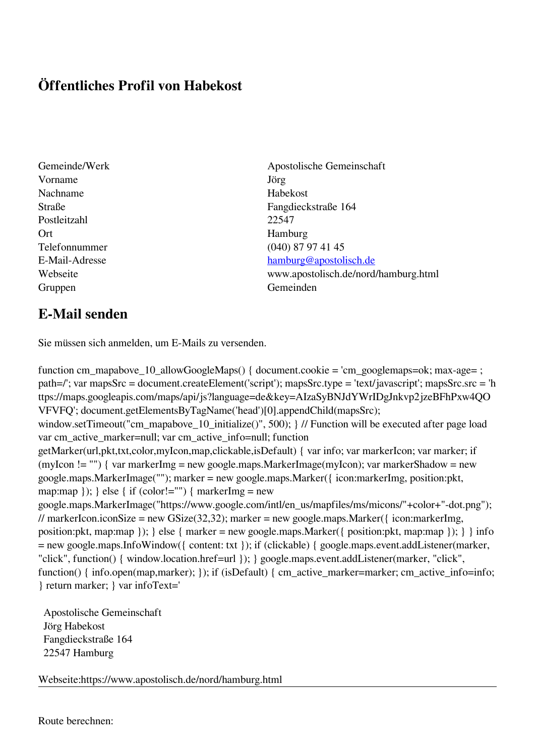## **Öffentliches Profil von Habekost**

- Vorname Jörg Nachname Habekost Postleitzahl 22547 Ort Hamburg Gruppen Gemeinden Gemeinden Gemeinden Gemeinden Gemeinden Gemeinden Gemeinden Gemeinden Gemeinden Gemeinden G
- Gemeinde/Werk Apostolische Gemeinschaft Straße Fangdieckstraße 164 Telefonnummer (040) 87 97 41 45 E-Mail-Adresse [hamburg@apostolisch.de](mailto:hamburg@apostolisch.de) Webseite www.apostolisch.de/nord/hamburg.html

## **E-Mail senden**

Sie müssen sich anmelden, um E-Mails zu versenden.

function cm\_mapabove\_10\_allowGoogleMaps() { document.cookie = 'cm\_googlemaps=ok; max-age= ; path=/'; var mapsSrc = document.createElement('script'); mapsSrc.type = 'text/javascript'; mapsSrc.src = 'h ttps://maps.googleapis.com/maps/api/js?language=de&key=AIzaSyBNJdYWrIDgJnkvp2jzeBFhPxw4QO VFVFQ'; document.getElementsByTagName('head')[0].appendChild(mapsSrc); window.setTimeout("cm\_mapabove\_10\_initialize()", 500); } // Function will be executed after page load var cm\_active\_marker=null; var cm\_active\_info=null; function getMarker(url,pkt,txt,color,myIcon,map,clickable,isDefault) { var info; var markerIcon; var marker; if (myIcon != "") { var markerImg = new google.maps.MarkerImage(myIcon); var markerShadow = new google.maps.MarkerImage(""); marker = new google.maps.Marker({ icon:markerImg, position:pkt, map:map  $\}$ ;  $\}$  else  $\{$  if (color!="")  $\{$  markerImg = new google.maps.MarkerImage("https://www.google.com/intl/en\_us/mapfiles/ms/micons/"+color+"-dot.png"); // markerIcon.iconSize = new GSize(32,32); marker = new google.maps.Marker({ $i$ con:markerImg, position:pkt, map:map }); } else { marker = new google.maps.Marker({ position:pkt, map:map }); } } info = new google.maps.InfoWindow({ content: txt }); if (clickable) { google.maps.event.addListener(marker, "click", function() { window.location.href=url }); } google.maps.event.addListener(marker, "click", function() { info.open(map,marker); }); if (isDefault) { cm\_active\_marker=marker; cm\_active\_info=info; } return marker; } var infoText='

 Apostolische Gemeinschaft Jörg Habekost Fangdieckstraße 164 22547 Hamburg

Webseite:https://www.apostolisch.de/nord/hamburg.html